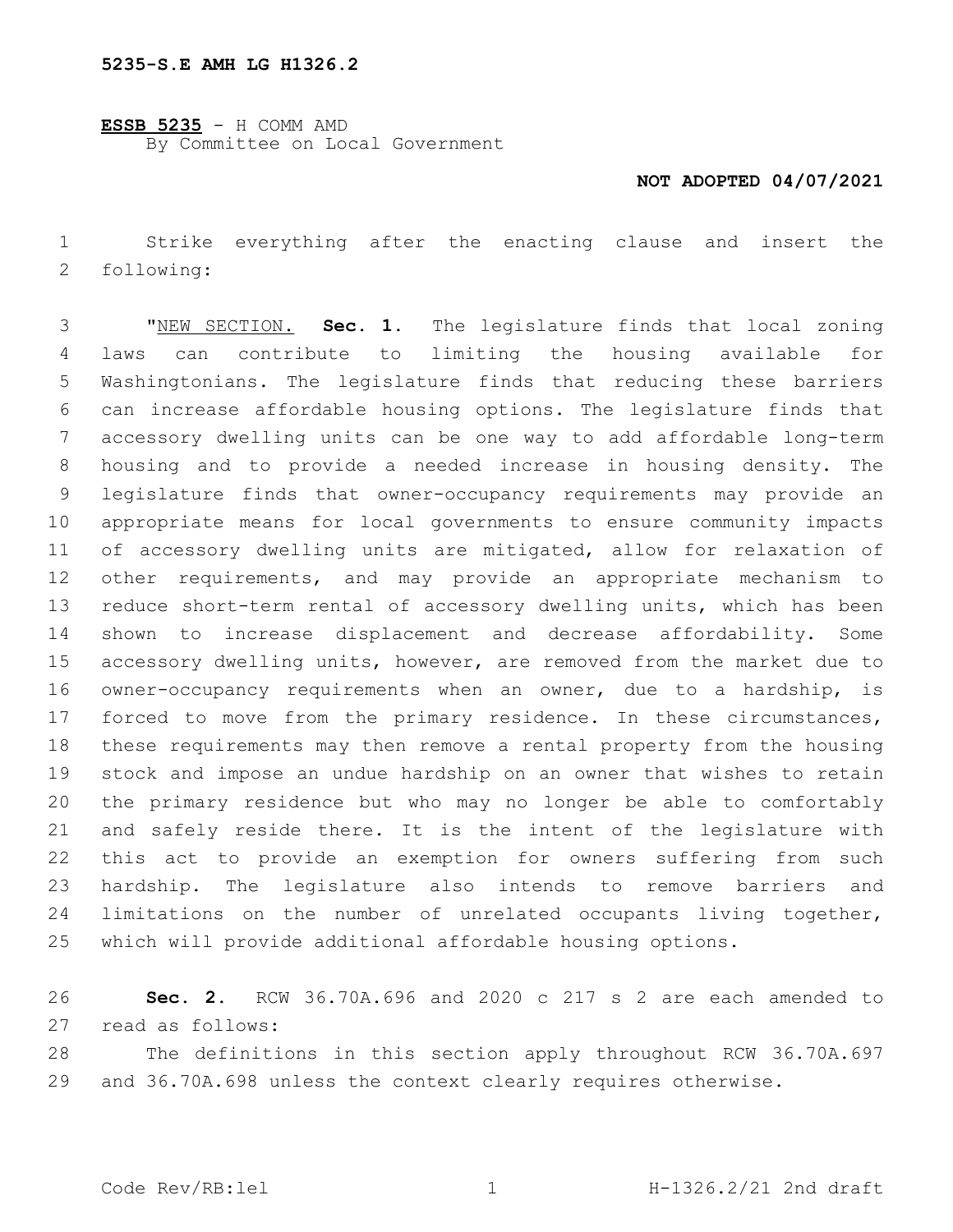**ESSB 5235** - H COMM AMD By Committee on Local Government

## **NOT ADOPTED 04/07/2021**

 Strike everything after the enacting clause and insert the 2 following:

 "NEW SECTION. **Sec. 1.** The legislature finds that local zoning laws can contribute to limiting the housing available for Washingtonians. The legislature finds that reducing these barriers can increase affordable housing options. The legislature finds that accessory dwelling units can be one way to add affordable long-term housing and to provide a needed increase in housing density. The legislature finds that owner-occupancy requirements may provide an appropriate means for local governments to ensure community impacts of accessory dwelling units are mitigated, allow for relaxation of other requirements, and may provide an appropriate mechanism to reduce short-term rental of accessory dwelling units, which has been shown to increase displacement and decrease affordability. Some accessory dwelling units, however, are removed from the market due to owner-occupancy requirements when an owner, due to a hardship, is 17 forced to move from the primary residence. In these circumstances, these requirements may then remove a rental property from the housing stock and impose an undue hardship on an owner that wishes to retain the primary residence but who may no longer be able to comfortably and safely reside there. It is the intent of the legislature with this act to provide an exemption for owners suffering from such hardship. The legislature also intends to remove barriers and 24 limitations on the number of unrelated occupants living together, which will provide additional affordable housing options.

 **Sec. 2.** RCW 36.70A.696 and 2020 c 217 s 2 are each amended to read as follows:27

 The definitions in this section apply throughout RCW 36.70A.697 and 36.70A.698 unless the context clearly requires otherwise.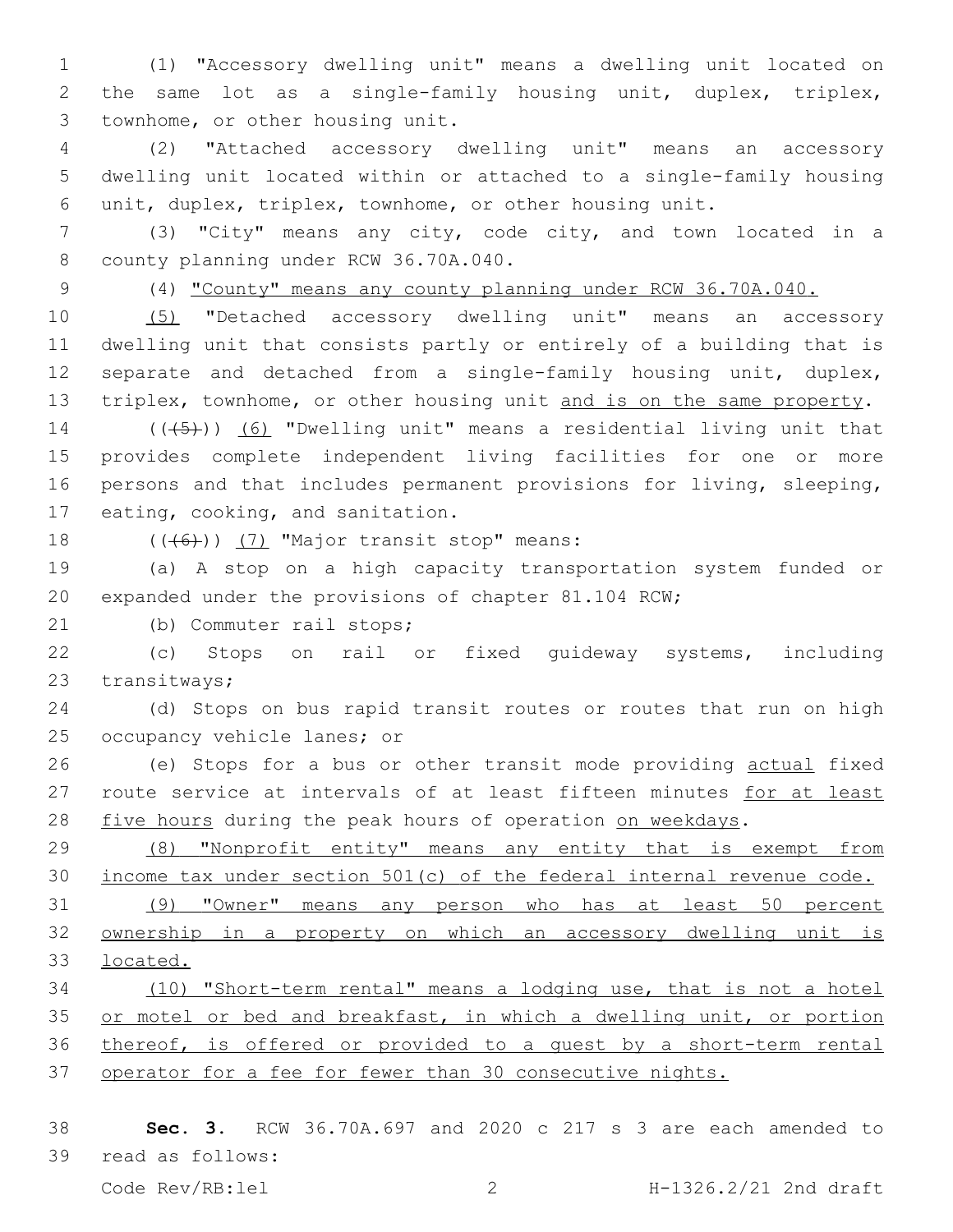(1) "Accessory dwelling unit" means a dwelling unit located on the same lot as a single-family housing unit, duplex, triplex, 3 townhome, or other housing unit.

 (2) "Attached accessory dwelling unit" means an accessory dwelling unit located within or attached to a single-family housing unit, duplex, triplex, townhome, or other housing unit.

 (3) "City" means any city, code city, and town located in a 8 county planning under RCW 36.70A.040.

(4) "County" means any county planning under RCW 36.70A.040.

 (5) "Detached accessory dwelling unit" means an accessory dwelling unit that consists partly or entirely of a building that is separate and detached from a single-family housing unit, duplex, triplex, townhome, or other housing unit and is on the same property.

14 ( $(\overline{5})$ ) (6) "Dwelling unit" means a residential living unit that provides complete independent living facilities for one or more persons and that includes permanent provisions for living, sleeping, 17 eating, cooking, and sanitation.

18  $((\overline{6}))$  (7) "Major transit stop" means:

 (a) A stop on a high capacity transportation system funded or expanded under the provisions of chapter 81.104 RCW;

21 (b) Commuter rail stops;

 (c) Stops on rail or fixed guideway systems, including 23 transitways;

 (d) Stops on bus rapid transit routes or routes that run on high 25 occupancy vehicle lanes; or

 (e) Stops for a bus or other transit mode providing actual fixed 27 route service at intervals of at least fifteen minutes for at least 28 five hours during the peak hours of operation on weekdays.

 (8) "Nonprofit entity" means any entity that is exempt from income tax under section 501(c) of the federal internal revenue code. (9) "Owner" means any person who has at least 50 percent

 ownership in a property on which an accessory dwelling unit is located.

 (10) "Short-term rental" means a lodging use, that is not a hotel 35 or motel or bed and breakfast, in which a dwelling unit, or portion thereof, is offered or provided to a guest by a short-term rental operator for a fee for fewer than 30 consecutive nights.

 **Sec. 3.** RCW 36.70A.697 and 2020 c 217 s 3 are each amended to 39 read as follows: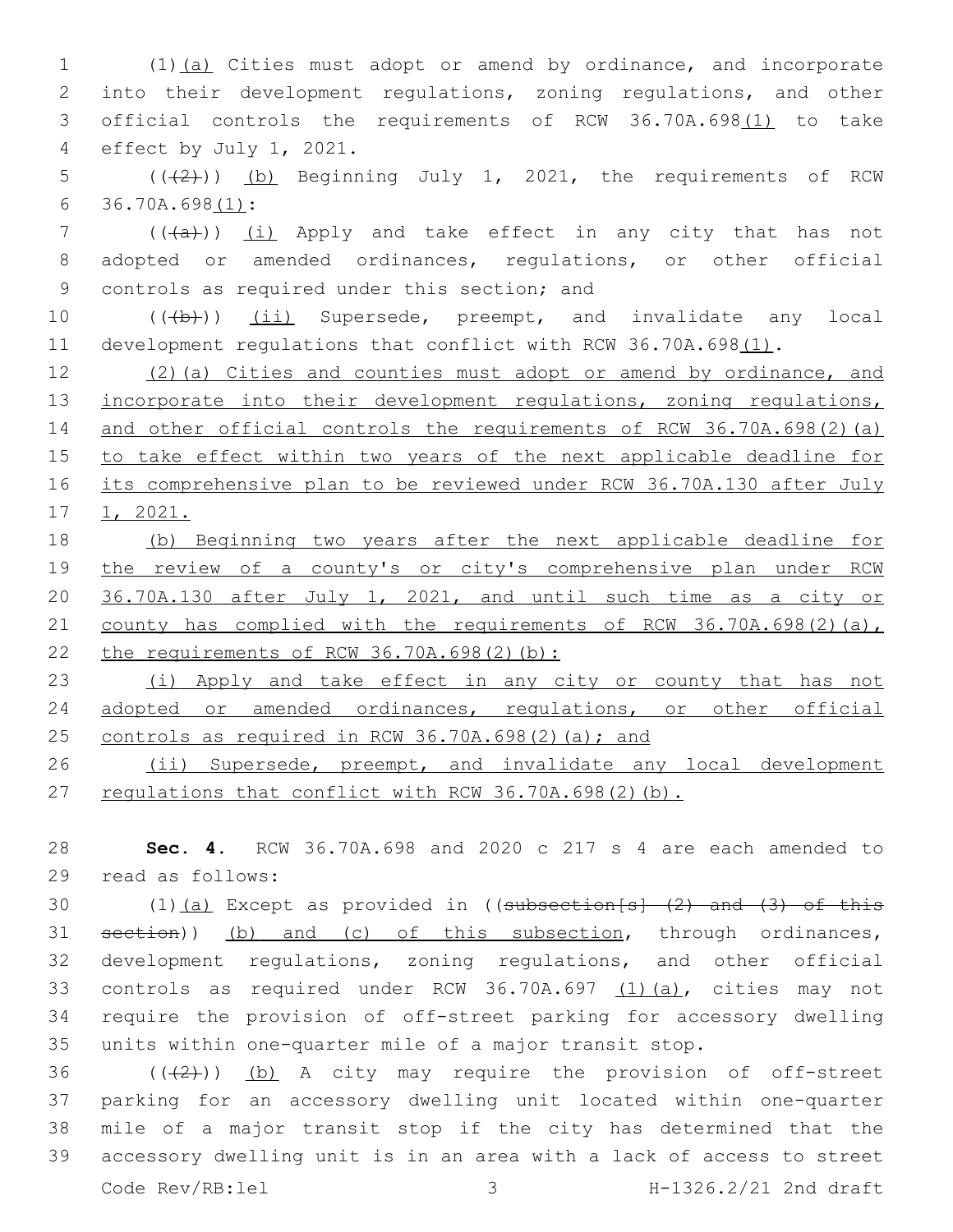(1)(a) Cities must adopt or amend by ordinance, and incorporate into their development regulations, zoning regulations, and other official controls the requirements of RCW 36.70A.698(1) to take 4 effect by July 1, 2021.

5  $((+2))$  (b) Beginning July 1, 2021, the requirements of RCW 36.70A.698(1):6

7 (((a)) (i) Apply and take effect in any city that has not 8 adopted or amended ordinances, regulations, or other official 9 controls as required under this section; and

10 (((b))) (ii) Supersede, preempt, and invalidate any local 11 development regulations that conflict with RCW 36.70A.698(1).

12 (2)(a) Cities and counties must adopt or amend by ordinance, and 13 incorporate into their development regulations, zoning regulations, 14 and other official controls the requirements of RCW 36.70A.698(2)(a) 15 to take effect within two years of the next applicable deadline for 16 its comprehensive plan to be reviewed under RCW 36.70A.130 after July 17 1, 2021.

18 (b) Beginning two years after the next applicable deadline for 19 the review of a county's or city's comprehensive plan under RCW 20 36.70A.130 after July 1, 2021, and until such time as a city or 21 county has complied with the requirements of RCW 36.70A.698(2)(a), 22 the requirements of RCW 36.70A.698(2)(b):

23 (i) Apply and take effect in any city or county that has not 24 adopted or amended ordinances, regulations, or other official 25 controls as required in RCW 36.70A.698(2)(a); and

26 (ii) Supersede, preempt, and invalidate any local development 27 regulations that conflict with RCW 36.70A.698(2)(b).

28 **Sec. 4.** RCW 36.70A.698 and 2020 c 217 s 4 are each amended to read as follows:29

30 (1)(a) Except as provided in ((subsection[s] (2) and (3) of this section)) (b) and (c) of this subsection, through ordinances, development regulations, zoning regulations, and other official controls as required under RCW 36.70A.697 (1)(a), cities may not require the provision of off-street parking for accessory dwelling units within one-quarter mile of a major transit stop.

 $((+2+))$  (b) A city may require the provision of off-street parking for an accessory dwelling unit located within one-quarter mile of a major transit stop if the city has determined that the accessory dwelling unit is in an area with a lack of access to street Code Rev/RB:lel 3 H-1326.2/21 2nd draft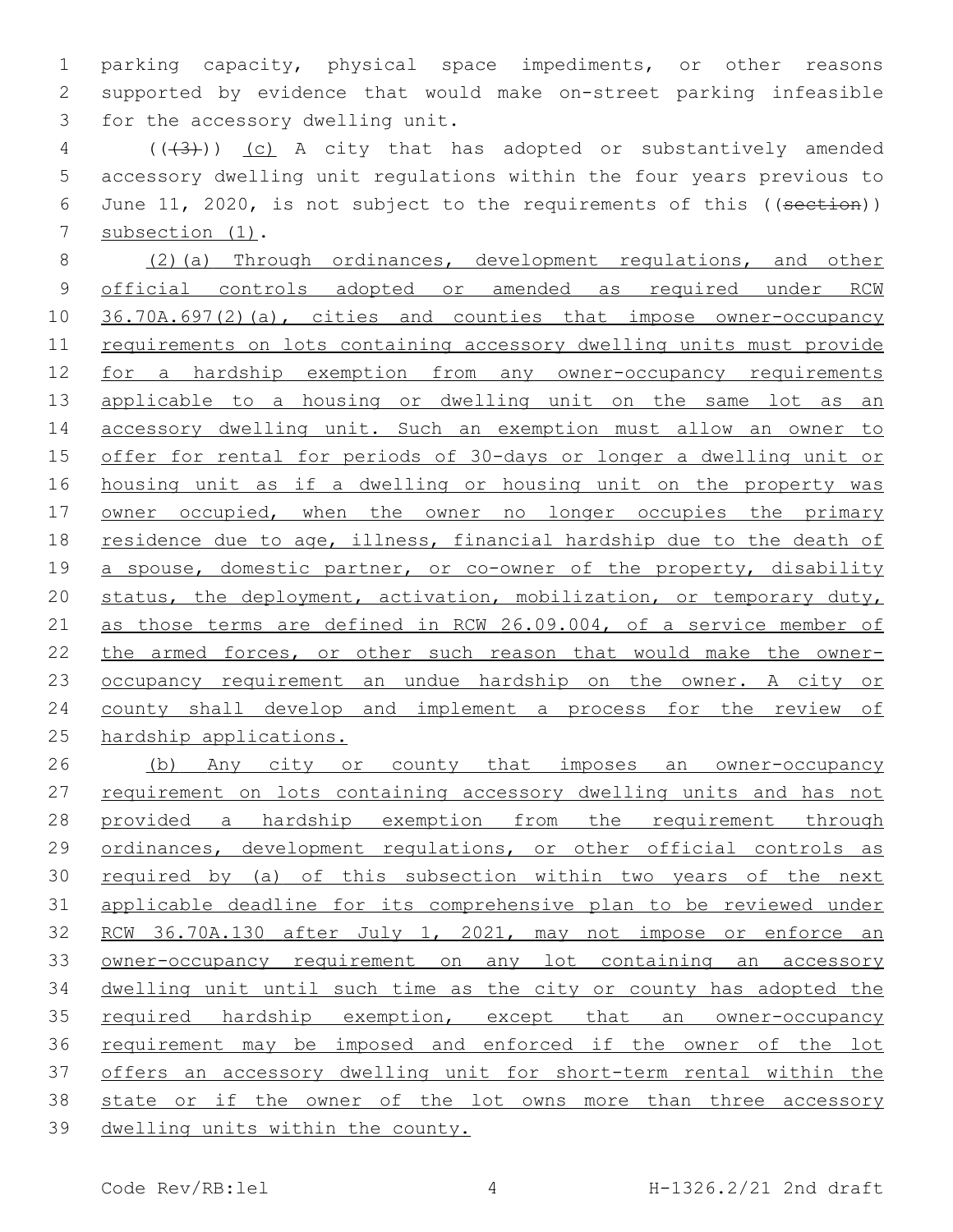parking capacity, physical space impediments, or other reasons supported by evidence that would make on-street parking infeasible 3 for the accessory dwelling unit.

4 (( $(3)$ )) (c) A city that has adopted or substantively amended accessory dwelling unit regulations within the four years previous to June 11, 2020, is not subject to the requirements of this ((section)) 7 subsection (1).

 (2)(a) Through ordinances, development regulations, and other official controls adopted or amended as required under RCW 36.70A.697(2)(a), cities and counties that impose owner-occupancy requirements on lots containing accessory dwelling units must provide for a hardship exemption from any owner-occupancy requirements applicable to a housing or dwelling unit on the same lot as an 14 accessory dwelling unit. Such an exemption must allow an owner to offer for rental for periods of 30-days or longer a dwelling unit or housing unit as if a dwelling or housing unit on the property was 17 owner occupied, when the owner no longer occupies the primary residence due to age, illness, financial hardship due to the death of 19 a spouse, domestic partner, or co-owner of the property, disability status, the deployment, activation, mobilization, or temporary duty, as those terms are defined in RCW 26.09.004, of a service member of the armed forces, or other such reason that would make the owner-23 occupancy requirement an undue hardship on the owner. A city or county shall develop and implement a process for the review of hardship applications.

 (b) Any city or county that imposes an owner-occupancy 27 requirement on lots containing accessory dwelling units and has not provided a hardship exemption from the requirement through ordinances, development regulations, or other official controls as required by (a) of this subsection within two years of the next applicable deadline for its comprehensive plan to be reviewed under 32 RCW 36.70A.130 after July 1, 2021, may not impose or enforce an owner-occupancy requirement on any lot containing an accessory dwelling unit until such time as the city or county has adopted the 35 required hardship exemption, except that an owner-occupancy requirement may be imposed and enforced if the owner of the lot offers an accessory dwelling unit for short-term rental within the state or if the owner of the lot owns more than three accessory dwelling units within the county.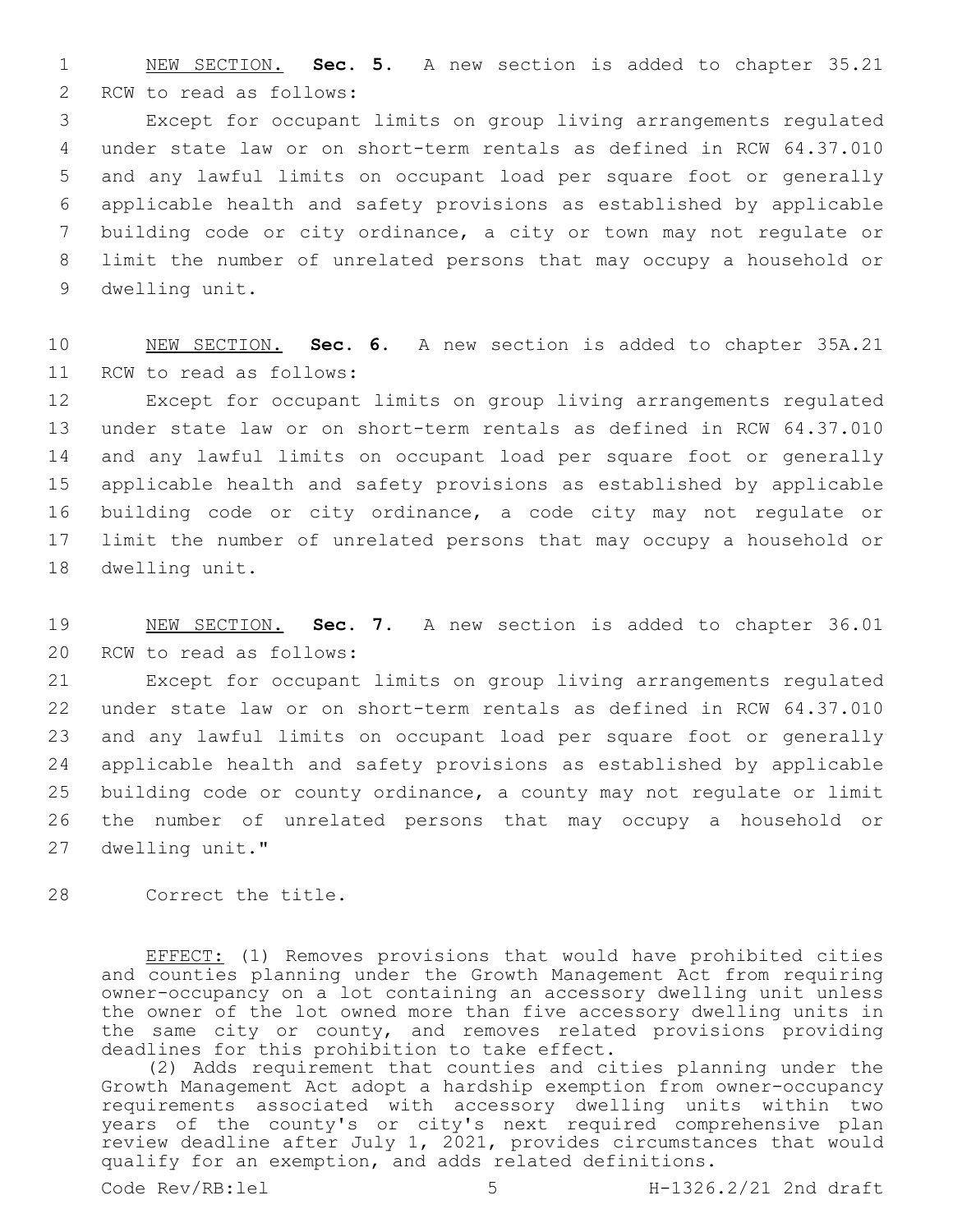1 NEW SECTION. **Sec. 5.** A new section is added to chapter 35.21 2 RCW to read as follows:

 Except for occupant limits on group living arrangements regulated under state law or on short-term rentals as defined in RCW 64.37.010 and any lawful limits on occupant load per square foot or generally applicable health and safety provisions as established by applicable building code or city ordinance, a city or town may not regulate or limit the number of unrelated persons that may occupy a household or 9 dwelling unit.

10 NEW SECTION. **Sec. 6.** A new section is added to chapter 35A.21 11 RCW to read as follows:

 Except for occupant limits on group living arrangements regulated under state law or on short-term rentals as defined in RCW 64.37.010 and any lawful limits on occupant load per square foot or generally applicable health and safety provisions as established by applicable building code or city ordinance, a code city may not regulate or limit the number of unrelated persons that may occupy a household or 18 dwelling unit.

19 NEW SECTION. **Sec. 7.** A new section is added to chapter 36.01 20 RCW to read as follows:

 Except for occupant limits on group living arrangements regulated under state law or on short-term rentals as defined in RCW 64.37.010 and any lawful limits on occupant load per square foot or generally applicable health and safety provisions as established by applicable building code or county ordinance, a county may not regulate or limit the number of unrelated persons that may occupy a household or 27 dwelling unit."

28 Correct the title.

EFFECT: (1) Removes provisions that would have prohibited cities and counties planning under the Growth Management Act from requiring owner-occupancy on a lot containing an accessory dwelling unit unless the owner of the lot owned more than five accessory dwelling units in the same city or county, and removes related provisions providing deadlines for this prohibition to take effect.

(2) Adds requirement that counties and cities planning under the Growth Management Act adopt a hardship exemption from owner-occupancy requirements associated with accessory dwelling units within two years of the county's or city's next required comprehensive plan review deadline after July 1, 2021, provides circumstances that would qualify for an exemption, and adds related definitions.

Code Rev/RB:lel 5 H-1326.2/21 2nd draft